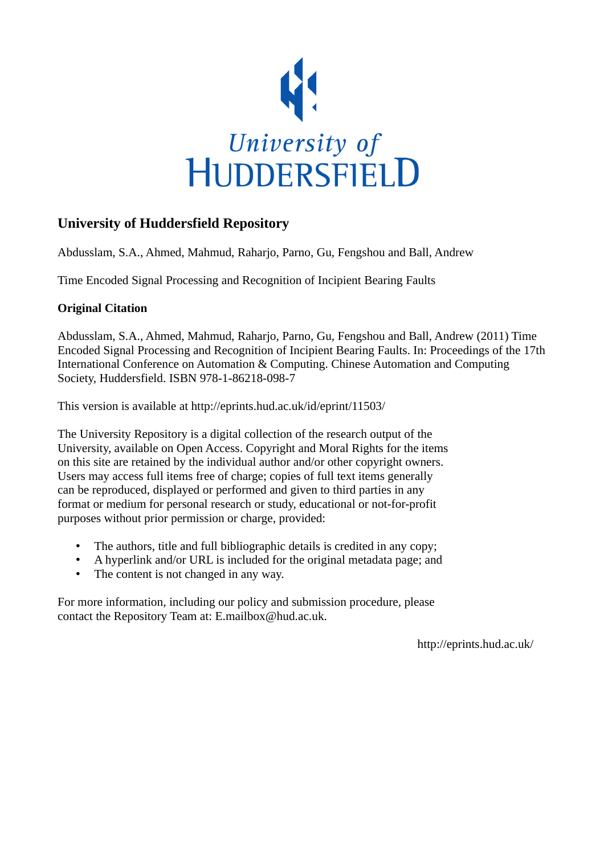

# **University of Huddersfield Repository**

Abdusslam, S.A., Ahmed, Mahmud, Raharjo, Parno, Gu, Fengshou and Ball, Andrew

Time Encoded Signal Processing and Recognition of Incipient Bearing Faults

## **Original Citation**

Abdusslam, S.A., Ahmed, Mahmud, Raharjo, Parno, Gu, Fengshou and Ball, Andrew (2011) Time Encoded Signal Processing and Recognition of Incipient Bearing Faults. In: Proceedings of the 17th International Conference on Automation & Computing. Chinese Automation and Computing Society, Huddersfield. ISBN 978-1-86218-098-7

This version is available at http://eprints.hud.ac.uk/id/eprint/11503/

The University Repository is a digital collection of the research output of the University, available on Open Access. Copyright and Moral Rights for the items on this site are retained by the individual author and/or other copyright owners. Users may access full items free of charge; copies of full text items generally can be reproduced, displayed or performed and given to third parties in any format or medium for personal research or study, educational or not-for-profit purposes without prior permission or charge, provided:

- The authors, title and full bibliographic details is credited in any copy;
- A hyperlink and/or URL is included for the original metadata page; and
- The content is not changed in any way.

For more information, including our policy and submission procedure, please contact the Repository Team at: E.mailbox@hud.ac.uk.

http://eprints.hud.ac.uk/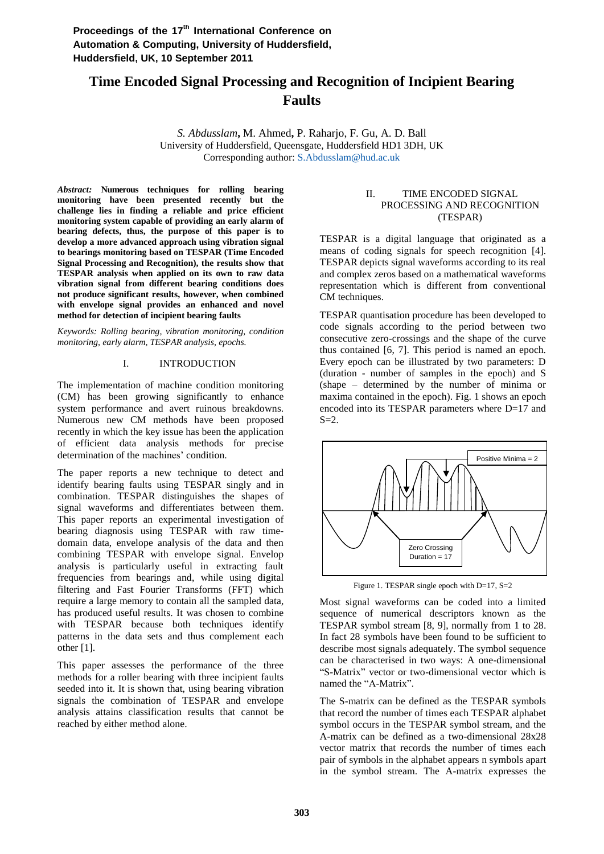## **Time Encoded Signal Processing and Recognition of Incipient Bearing Faults**

*S. Abdusslam***,** M. Ahmed**,** P. Raharjo, F. Gu, A. D. Ball University of Huddersfield, Queensgate, Huddersfield HD1 3DH, UK Corresponding author: S.Abdusslam@hud.ac.uk

*Abstract:* **Numerous techniques for rolling bearing monitoring have been presented recently but the challenge lies in finding a reliable and price efficient monitoring system capable of providing an early alarm of bearing defects, thus, the purpose of this paper is to develop a more advanced approach using vibration signal to bearings monitoring based on TESPAR (Time Encoded Signal Processing and Recognition), the results show that TESPAR analysis when applied on its own to raw data vibration signal from different bearing conditions does not produce significant results, however, when combined with envelope signal provides an enhanced and novel method for detection of incipient bearing faults** 

*Keywords: Rolling bearing, vibration monitoring, condition monitoring, early alarm, TESPAR analysis, epochs.* 

## I. INTRODUCTION

The implementation of machine condition monitoring (CM) has been growing significantly to enhance system performance and avert ruinous breakdowns. Numerous new CM methods have been proposed recently in which the key issue has been the application of efficient data analysis methods for precise determination of the machines' condition.

The paper reports a new technique to detect and identify bearing faults using TESPAR singly and in combination. TESPAR distinguishes the shapes of signal waveforms and differentiates between them. This paper reports an experimental investigation of bearing diagnosis using TESPAR with raw timedomain data, envelope analysis of the data and then combining TESPAR with envelope signal. Envelop analysis is particularly useful in extracting fault frequencies from bearings and, while using digital filtering and Fast Fourier Transforms (FFT) which require a large memory to contain all the sampled data, has produced useful results. It was chosen to combine with TESPAR because both techniques identify patterns in the data sets and thus complement each other [1].

This paper assesses the performance of the three methods for a roller bearing with three incipient faults seeded into it. It is shown that, using bearing vibration signals the combination of TESPAR and envelope analysis attains classification results that cannot be reached by either method alone.

### II. TIME ENCODED SIGNAL PROCESSING AND RECOGNITION (TESPAR)

TESPAR is a digital language that originated as a means of coding signals for speech recognition [4]. TESPAR depicts signal waveforms according to its real and complex zeros based on a mathematical waveforms representation which is different from conventional CM techniques.

TESPAR quantisation procedure has been developed to code signals according to the period between two consecutive zero-crossings and the shape of the curve thus contained [6, 7]. This period is named an epoch. Every epoch can be illustrated by two parameters: D (duration - number of samples in the epoch) and S (shape – determined by the number of minima or maxima contained in the epoch). Fig. 1 shows an epoch encoded into its TESPAR parameters where D=17 and  $S=2$ .



Figure 1. TESPAR single epoch with D=17, S=2

Most signal waveforms can be coded into a limited sequence of numerical descriptors known as the TESPAR symbol stream [8, 9], normally from 1 to 28. In fact 28 symbols have been found to be sufficient to describe most signals adequately. The symbol sequence can be characterised in two ways: A one-dimensional "S-Matrix" vector or two-dimensional vector which is named the "A-Matrix".

The S-matrix can be defined as the TESPAR symbols that record the number of times each TESPAR alphabet symbol occurs in the TESPAR symbol stream, and the A-matrix can be defined as a two-dimensional 28x28 vector matrix that records the number of times each pair of symbols in the alphabet appears n symbols apart in the symbol stream. The A-matrix expresses the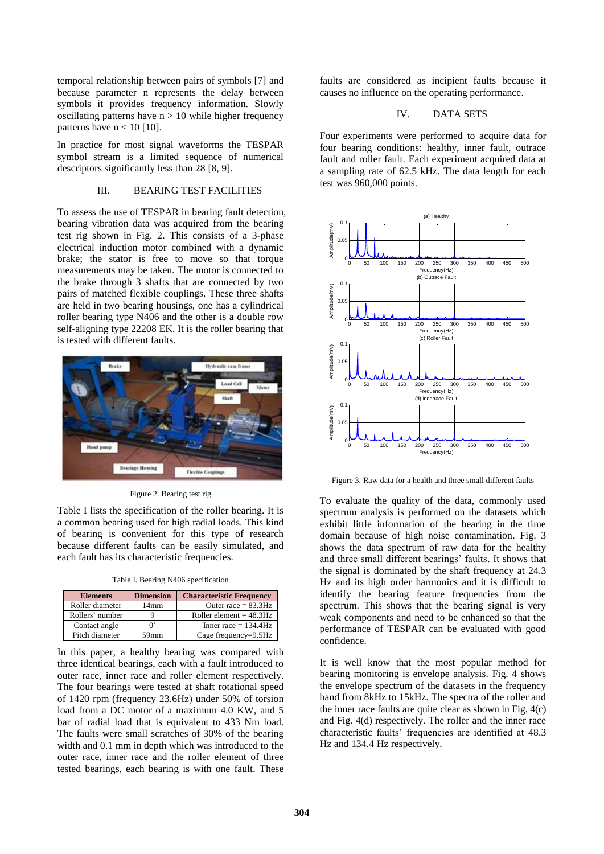temporal relationship between pairs of symbols [7] and because parameter n represents the delay between symbols it provides frequency information. Slowly oscillating patterns have  $n > 10$  while higher frequency patterns have  $n < 10$  [10].

In practice for most signal waveforms the TESPAR symbol stream is a limited sequence of numerical descriptors significantly less than 28 [8, 9].

#### III. BEARING TEST FACILITIES

To assess the use of TESPAR in bearing fault detection, bearing vibration data was acquired from the bearing test rig shown in Fig. 2. This consists of a 3-phase electrical induction motor combined with a dynamic brake; the stator is free to move so that torque measurements may be taken. The motor is connected to the brake through 3 shafts that are connected by two pairs of matched flexible couplings. These three shafts are held in two bearing housings, one has a cylindrical roller bearing type N406 and the other is a double row self-aligning type 22208 EK. It is the roller bearing that is tested with different faults.



Figure 2. Bearing test rig

Table I lists the specification of the roller bearing. It is a common bearing used for high radial loads. This kind of bearing is convenient for this type of research because different faults can be easily simulated, and each fault has its characteristic frequencies.

Table I. Bearing N406 specification

| <b>Elements</b> | <b>Dimension</b> | <b>Characteristic Frequency</b> |
|-----------------|------------------|---------------------------------|
| Roller diameter | 14mm             | Outer race $= 83.3 Hz$          |
| Rollers' number |                  | Roller element $= 48.3$ Hz      |
| Contact angle   |                  | Inner race $= 134.4$ Hz         |
| Pitch diameter  | 59mm             | Cage frequency=9.5Hz            |

In this paper, a healthy bearing was compared with three identical bearings, each with a fault introduced to outer race, inner race and roller element respectively. The four bearings were tested at shaft rotational speed of 1420 rpm (frequency 23.6Hz) under 50% of torsion load from a DC motor of a maximum 4.0 KW, and 5 bar of radial load that is equivalent to 433 Nm load. The faults were small scratches of 30% of the bearing width and 0.1 mm in depth which was introduced to the outer race, inner race and the roller element of three tested bearings, each bearing is with one fault. These faults are considered as incipient faults because it causes no influence on the operating performance.

#### IV. DATA SETS

Four experiments were performed to acquire data for four bearing conditions: healthy, inner fault, outrace fault and roller fault. Each experiment acquired data at a sampling rate of 62.5 kHz. The data length for each test was 960,000 points.



Figure 3. Raw data for a health and three small different faults

To evaluate the quality of the data, commonly used spectrum analysis is performed on the datasets which exhibit little information of the bearing in the time domain because of high noise contamination. Fig. 3 shows the data spectrum of raw data for the healthy and three small different bearings' faults. It shows that the signal is dominated by the shaft frequency at 24.3 Hz and its high order harmonics and it is difficult to identify the bearing feature frequencies from the spectrum. This shows that the bearing signal is very weak components and need to be enhanced so that the performance of TESPAR can be evaluated with good confidence.

It is well know that the most popular method for bearing monitoring is envelope analysis. Fig. 4 shows the envelope spectrum of the datasets in the frequency band from 8kHz to 15kHz. The spectra of the roller and the inner race faults are quite clear as shown in Fig. 4(c) and Fig. 4(d) respectively. The roller and the inner race characteristic faults" frequencies are identified at 48.3 Hz and 134.4 Hz respectively.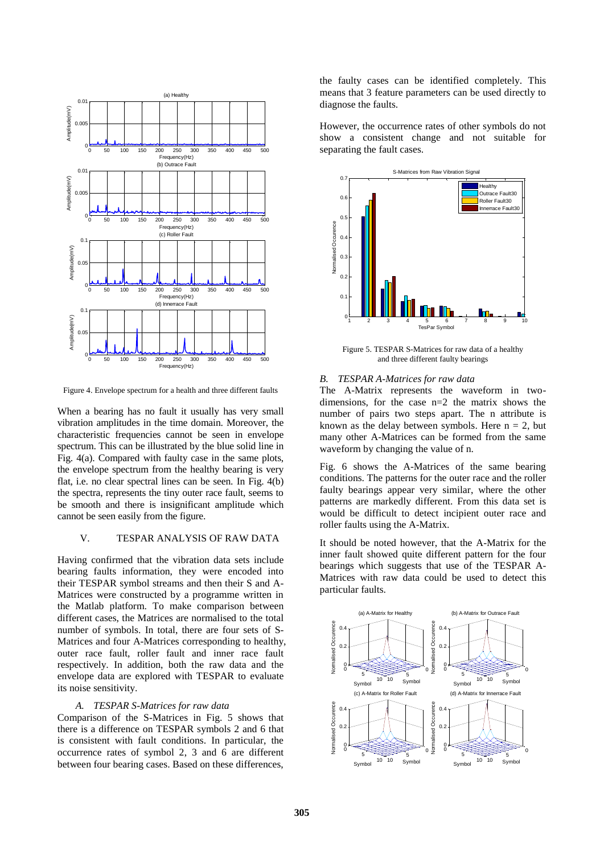

Figure 4. Envelope spectrum for a health and three different faults

When a bearing has no fault it usually has very small vibration amplitudes in the time domain. Moreover, the characteristic frequencies cannot be seen in envelope spectrum. This can be illustrated by the blue solid line in Fig. 4(a). Compared with faulty case in the same plots, the envelope spectrum from the healthy bearing is very flat, i.e. no clear spectral lines can be seen. In Fig. 4(b) the spectra, represents the tiny outer race fault, seems to be smooth and there is insignificant amplitude which cannot be seen easily from the figure.

### V. TESPAR ANALYSIS OF RAW DATA

Having confirmed that the vibration data sets include bearing faults information, they were encoded into their TESPAR symbol streams and then their S and A-Matrices were constructed by a programme written in the Matlab platform. To make comparison between different cases, the Matrices are normalised to the total number of symbols. In total, there are four sets of S-Matrices and four A-Matrices corresponding to healthy, outer race fault, roller fault and inner race fault respectively. In addition, both the raw data and the envelope data are explored with TESPAR to evaluate its noise sensitivity.

#### *A. TESPAR S-Matrices for raw data*

Comparison of the S-Matrices in Fig. 5 shows that there is a difference on TESPAR symbols 2 and 6 that is consistent with fault conditions. In particular, the occurrence rates of symbol 2, 3 and 6 are different between four bearing cases. Based on these differences,

the faulty cases can be identified completely. This means that 3 feature parameters can be used directly to diagnose the faults.

However, the occurrence rates of other symbols do not show a consistent change and not suitable for separating the fault cases.



Figure 5. TESPAR S-Matrices for raw data of a healthy and three different faulty bearings

#### *B. TESPAR A-Matrices for raw data*

The A-Matrix represents the waveform in twodimensions, for the case n=2 the matrix shows the number of pairs two steps apart. The n attribute is known as the delay between symbols. Here  $n = 2$ , but many other A-Matrices can be formed from the same waveform by changing the value of n.

Fig. 6 shows the A-Matrices of the same bearing conditions. The patterns for the outer race and the roller faulty bearings appear very similar, where the other patterns are markedly different. From this data set is would be difficult to detect incipient outer race and roller faults using the A-Matrix.

It should be noted however, that the A-Matrix for the inner fault showed quite different pattern for the four bearings which suggests that use of the TESPAR A-Matrices with raw data could be used to detect this particular faults.

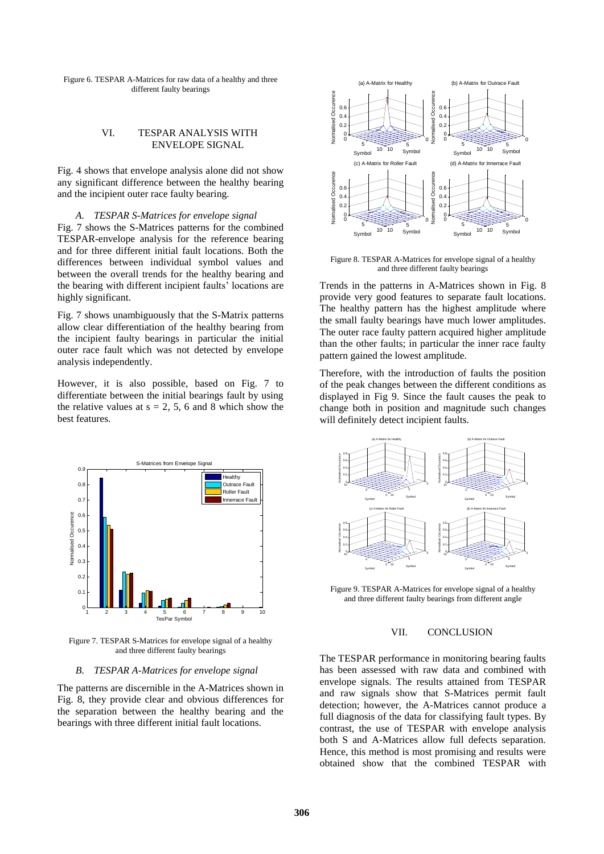Figure 6. TESPAR A-Matrices for raw data of a healthy and three different faulty bearings

#### VI. TESPAR ANALYSIS WITH ENVELOPE SIGNAL

Fig. 4 shows that envelope analysis alone did not show any significant difference between the healthy bearing and the incipient outer race faulty bearing.

#### *A. TESPAR S-Matrices for envelope signal*

Fig. 7 shows the S-Matrices patterns for the combined TESPAR-envelope analysis for the reference bearing and for three different initial fault locations. Both the differences between individual symbol values and between the overall trends for the healthy bearing and the bearing with different incipient faults' locations are highly significant.

Fig. 7 shows unambiguously that the S-Matrix patterns allow clear differentiation of the healthy bearing from the incipient faulty bearings in particular the initial outer race fault which was not detected by envelope analysis independently.

However, it is also possible, based on Fig. 7 to differentiate between the initial bearings fault by using the relative values at  $s = 2, 5, 6$  and 8 which show the best features.



Figure 7. TESPAR S-Matrices for envelope signal of a healthy and three different faulty bearings

#### *B. TESPAR A-Matrices for envelope signal*

The patterns are discernible in the A-Matrices shown in Fig. 8, they provide clear and obvious differences for the separation between the healthy bearing and the bearings with three different initial fault locations.



Figure 8. TESPAR A-Matrices for envelope signal of a healthy and three different faulty bearings

Trends in the patterns in A-Matrices shown in Fig. 8 provide very good features to separate fault locations. The healthy pattern has the highest amplitude where the small faulty bearings have much lower amplitudes. The outer race faulty pattern acquired higher amplitude than the other faults; in particular the inner race faulty pattern gained the lowest amplitude.

Therefore, with the introduction of faults the position of the peak changes between the different conditions as displayed in Fig 9. Since the fault causes the peak to change both in position and magnitude such changes will definitely detect incipient faults.



Figure 9. TESPAR A-Matrices for envelope signal of a healthy and three different faulty bearings from different angle

#### VII. CONCLUSION

The TESPAR performance in monitoring bearing faults has been assessed with raw data and combined with envelope signals. The results attained from TESPAR and raw signals show that S-Matrices permit fault detection; however, the A-Matrices cannot produce a full diagnosis of the data for classifying fault types. By contrast, the use of TESPAR with envelope analysis both S and A-Matrices allow full defects separation. Hence, this method is most promising and results were obtained show that the combined TESPAR with